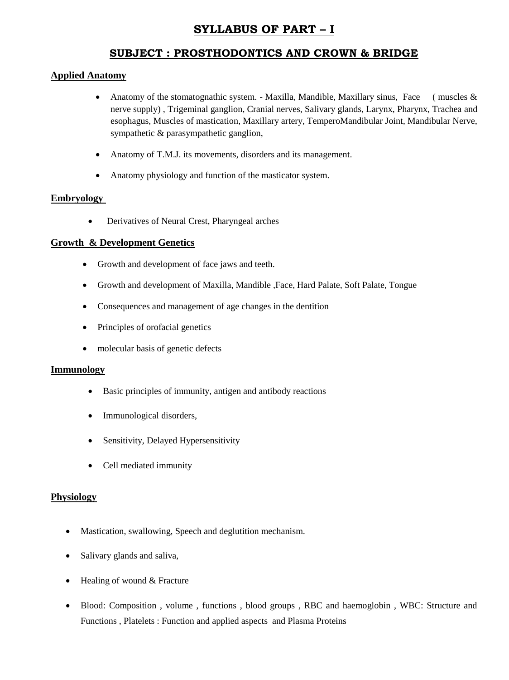# **SYLLABUS OF PART – I**

## **SUBJECT : PROSTHODONTICS AND CROWN & BRIDGE**

## **Applied Anatomy**

- Anatomy of the stomatognathic system. Maxilla, Mandible, Maxillary sinus, Face (muscles  $\&$ nerve supply) , Trigeminal ganglion, Cranial nerves, Salivary glands, Larynx, Pharynx, Trachea and esophagus, Muscles of mastication, Maxillary artery, TemperoMandibular Joint, Mandibular Nerve, sympathetic & parasympathetic ganglion,
- Anatomy of T.M.J. its movements, disorders and its management.
- Anatomy physiology and function of the masticator system.

## **Embryology**

Derivatives of Neural Crest, Pharyngeal arches

## **Growth & Development Genetics**

- Growth and development of face jaws and teeth.
- Growth and development of Maxilla, Mandible ,Face, Hard Palate, Soft Palate, Tongue
- Consequences and management of age changes in the dentition
- Principles of orofacial genetics
- molecular basis of genetic defects

## **Immunology**

- Basic principles of immunity, antigen and antibody reactions
- Immunological disorders,
- Sensitivity, Delayed Hypersensitivity
- Cell mediated immunity

#### **Physiology**

- Mastication, swallowing, Speech and deglutition mechanism.
- Salivary glands and saliva,
- Healing of wound & Fracture
- Blood: Composition , volume , functions , blood groups , RBC and haemoglobin , WBC: Structure and Functions , Platelets : Function and applied aspects and Plasma Proteins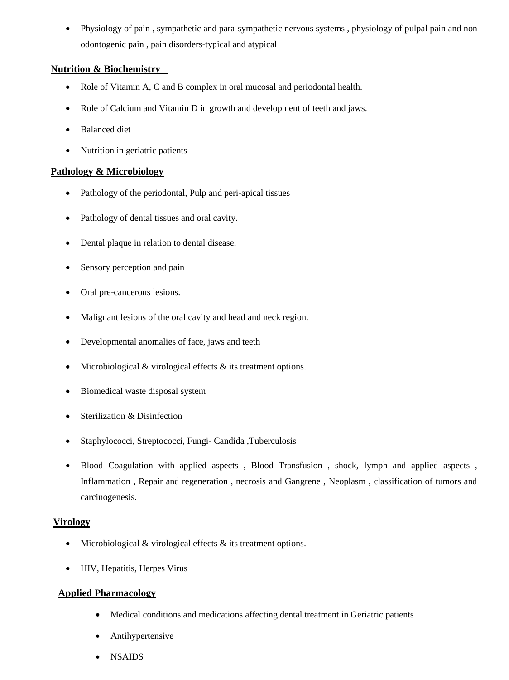Physiology of pain , sympathetic and para-sympathetic nervous systems , physiology of pulpal pain and non odontogenic pain , pain disorders-typical and atypical

## **Nutrition & Biochemistry**

- Role of Vitamin A, C and B complex in oral mucosal and periodontal health.
- Role of Calcium and Vitamin D in growth and development of teeth and jaws.
- Balanced diet
- Nutrition in geriatric patients

## **Pathology & Microbiology**

- Pathology of the periodontal, Pulp and peri-apical tissues
- Pathology of dental tissues and oral cavity.
- Dental plaque in relation to dental disease.
- Sensory perception and pain
- Oral pre-cancerous lesions.
- Malignant lesions of the oral cavity and head and neck region.
- Developmental anomalies of face, jaws and teeth
- Microbiological  $&$  virological effects  $&$  its treatment options.
- Biomedical waste disposal system
- Sterilization & Disinfection
- Staphylococci, Streptococci, Fungi- Candida ,Tuberculosis
- Blood Coagulation with applied aspects, Blood Transfusion, shock, lymph and applied aspects, Inflammation , Repair and regeneration , necrosis and Gangrene , Neoplasm , classification of tumors and carcinogenesis.

## **Virology**

- $\bullet$  Microbiological & virological effects & its treatment options.
- HIV, Hepatitis, Herpes Virus

## **Applied Pharmacology**

- Medical conditions and medications affecting dental treatment in Geriatric patients
- Antihypertensive
- NSAIDS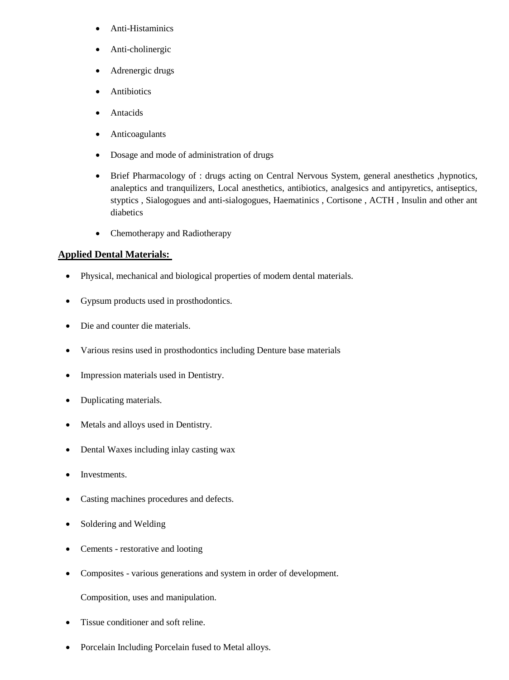- Anti-Histaminics
- Anti-cholinergic
- Adrenergic drugs
- Antibiotics
- Antacids
- Anticoagulants
- Dosage and mode of administration of drugs
- Brief Pharmacology of : drugs acting on Central Nervous System, general anesthetics ,hypnotics, analeptics and tranquilizers, Local anesthetics, antibiotics, analgesics and antipyretics, antiseptics, styptics , Sialogogues and anti-sialogogues, Haematinics , Cortisone , ACTH , Insulin and other ant diabetics
- Chemotherapy and Radiotherapy

## **Applied Dental Materials:**

- Physical, mechanical and biological properties of modem dental materials.
- Gypsum products used in prosthodontics.
- Die and counter die materials.
- Various resins used in prosthodontics including Denture base materials
- Impression materials used in Dentistry.
- Duplicating materials.
- Metals and alloys used in Dentistry.
- Dental Waxes including inlay casting wax
- **Investments**
- Casting machines procedures and defects.
- Soldering and Welding
- Cements restorative and looting
- Composites various generations and system in order of development.

Composition, uses and manipulation.

- Tissue conditioner and soft reline.
- Porcelain Including Porcelain fused to Metal alloys.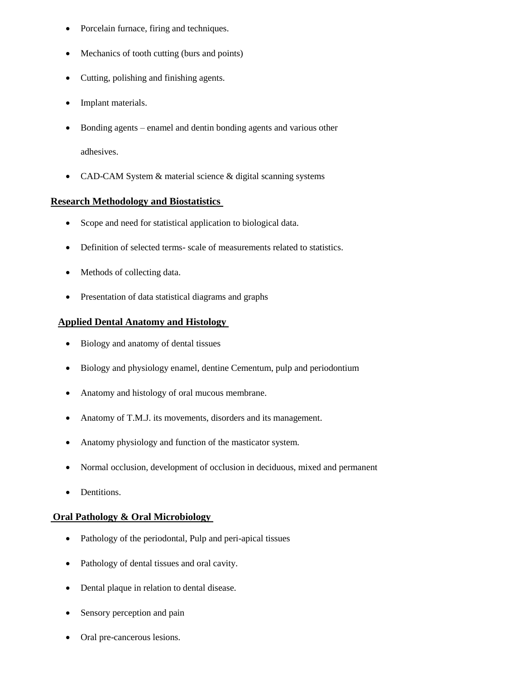- Porcelain furnace, firing and techniques.
- Mechanics of tooth cutting (burs and points)
- Cutting, polishing and finishing agents.
- Implant materials.
- Bonding agents enamel and dentin bonding agents and various other adhesives.
- CAD-CAM System & material science & digital scanning systems

## **Research Methodology and Biostatistics**

- Scope and need for statistical application to biological data.
- Definition of selected terms- scale of measurements related to statistics.
- Methods of collecting data.
- Presentation of data statistical diagrams and graphs

## **Applied Dental Anatomy and Histology**

- Biology and anatomy of dental tissues
- Biology and physiology enamel, dentine Cementum, pulp and periodontium
- Anatomy and histology of oral mucous membrane.
- Anatomy of T.M.J. its movements, disorders and its management.
- Anatomy physiology and function of the masticator system.
- Normal occlusion, development of occlusion in deciduous, mixed and permanent
- Dentitions.

#### **Oral Pathology & Oral Microbiology**

- Pathology of the periodontal, Pulp and peri-apical tissues
- Pathology of dental tissues and oral cavity.
- Dental plaque in relation to dental disease.
- Sensory perception and pain
- Oral pre-cancerous lesions.